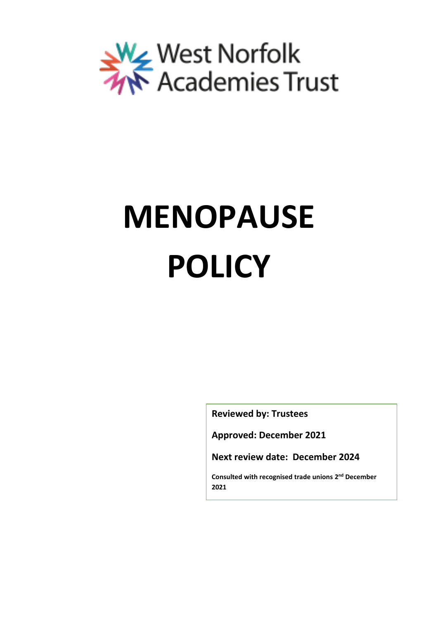

# **MENOPAUSE POLICY**

**Reviewed by: Trustees**

**Approved: December 2021**

**Next review date: December 2024**

**Consulted with recognised trade unions 2 nd December 2021**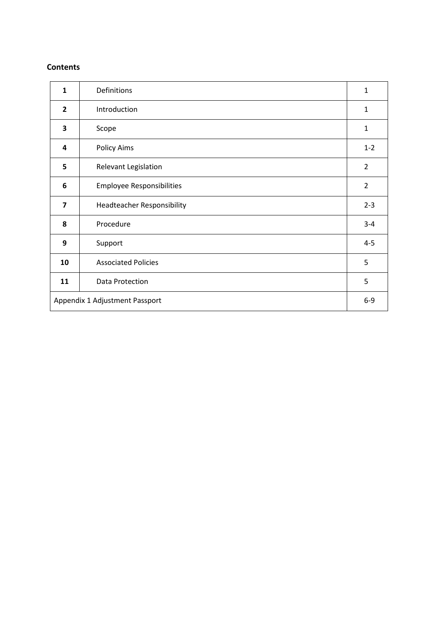#### **Contents**

| $\mathbf{1}$                   | Definitions                       | $\mathbf{1}$   |
|--------------------------------|-----------------------------------|----------------|
| $\overline{2}$                 | Introduction                      | $\mathbf{1}$   |
| 3                              | Scope                             | $\mathbf{1}$   |
| 4                              | <b>Policy Aims</b>                | $1 - 2$        |
| 5                              | Relevant Legislation              | $\overline{2}$ |
| 6                              | <b>Employee Responsibilities</b>  | $\overline{2}$ |
| $\overline{7}$                 | <b>Headteacher Responsibility</b> | $2 - 3$        |
| 8                              | Procedure                         | $3 - 4$        |
| 9                              | Support                           | $4 - 5$        |
| 10                             | <b>Associated Policies</b>        | 5              |
| 11                             | Data Protection                   | 5              |
| Appendix 1 Adjustment Passport |                                   |                |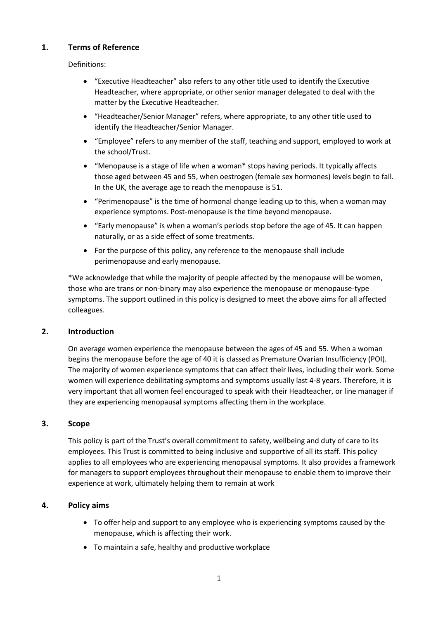# **1. Terms of Reference**

Definitions:

- "Executive Headteacher" also refers to any other title used to identify the Executive Headteacher, where appropriate, or other senior manager delegated to deal with the matter by the Executive Headteacher.
- "Headteacher/Senior Manager" refers, where appropriate, to any other title used to identify the Headteacher/Senior Manager.
- "Employee" refers to any member of the staff, teaching and support, employed to work at the school/Trust.
- "Menopause is a stage of life when a woman\* stops having periods. It typically affects those aged between 45 and 55, when oestrogen (female sex hormones) levels begin to fall. In the UK, the average age to reach the menopause is 51.
- "Perimenopause" is the time of hormonal change leading up to this, when a woman may experience symptoms. Post-menopause is the time beyond menopause.
- "Early menopause" is when a woman's periods stop before the age of 45. It can happen naturally, or as a side effect of some treatments.
- For the purpose of this policy, any reference to the menopause shall include perimenopause and early menopause.

\*We acknowledge that while the majority of people affected by the menopause will be women, those who are trans or non-binary may also experience the menopause or menopause-type symptoms. The support outlined in this policy is designed to meet the above aims for all affected colleagues.

# **2. Introduction**

On average women experience the menopause between the ages of 45 and 55. When a woman begins the menopause before the age of 40 it is classed as Premature Ovarian Insufficiency (POI). The majority of women experience symptoms that can affect their lives, including their work. Some women will experience debilitating symptoms and symptoms usually last 4-8 years. Therefore, it is very important that all women feel encouraged to speak with their Headteacher, or line manager if they are experiencing menopausal symptoms affecting them in the workplace.

# **3. Scope**

This policy is part of the Trust's overall commitment to safety, wellbeing and duty of care to its employees. This Trust is committed to being inclusive and supportive of all its staff. This policy applies to all employees who are experiencing menopausal symptoms. It also provides a framework for managers to support employees throughout their menopause to enable them to improve their experience at work, ultimately helping them to remain at work

# **4. Policy aims**

- To offer help and support to any employee who is experiencing symptoms caused by the menopause, which is affecting their work.
- To maintain a safe, healthy and productive workplace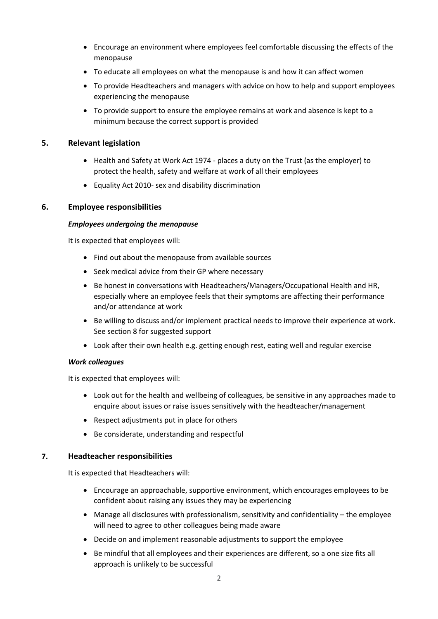- Encourage an environment where employees feel comfortable discussing the effects of the menopause
- To educate all employees on what the menopause is and how it can affect women
- To provide Headteachers and managers with advice on how to help and support employees experiencing the menopause
- To provide support to ensure the employee remains at work and absence is kept to a minimum because the correct support is provided

# **5. Relevant legislation**

- Health and Safety at Work Act 1974 places a duty on the Trust (as the employer) to protect the health, safety and welfare at work of all their employees
- Equality Act 2010- sex and disability discrimination

# **6. Employee responsibilities**

# *Employees undergoing the menopause*

It is expected that employees will:

- Find out about the menopause from available sources
- Seek medical advice from their GP where necessary
- Be honest in conversations with Headteachers/Managers/Occupational Health and HR, especially where an employee feels that their symptoms are affecting their performance and/or attendance at work
- Be willing to discuss and/or implement practical needs to improve their experience at work. See section 8 for suggested support
- Look after their own health e.g. getting enough rest, eating well and regular exercise

# *Work colleagues*

It is expected that employees will:

- Look out for the health and wellbeing of colleagues, be sensitive in any approaches made to enquire about issues or raise issues sensitively with the headteacher/management
- Respect adjustments put in place for others
- Be considerate, understanding and respectful

# **7. Headteacher responsibilities**

It is expected that Headteachers will:

- Encourage an approachable, supportive environment, which encourages employees to be confident about raising any issues they may be experiencing
- Manage all disclosures with professionalism, sensitivity and confidentiality the employee will need to agree to other colleagues being made aware
- Decide on and implement reasonable adjustments to support the employee
- Be mindful that all employees and their experiences are different, so a one size fits all approach is unlikely to be successful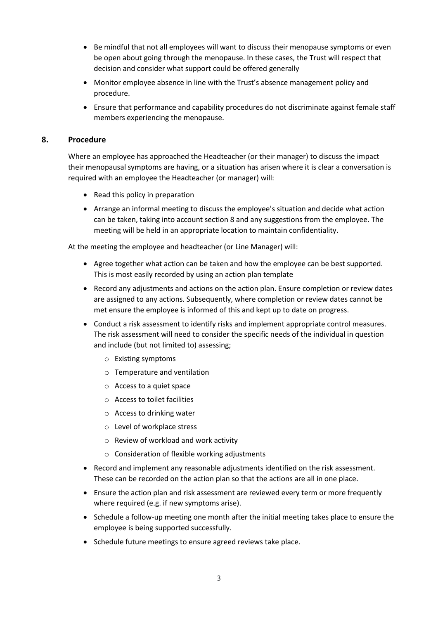- Be mindful that not all employees will want to discuss their menopause symptoms or even be open about going through the menopause. In these cases, the Trust will respect that decision and consider what support could be offered generally
- Monitor employee absence in line with the Trust's absence management policy and procedure.
- Ensure that performance and capability procedures do not discriminate against female staff members experiencing the menopause.

#### **8. Procedure**

Where an employee has approached the Headteacher (or their manager) to discuss the impact their menopausal symptoms are having, or a situation has arisen where it is clear a conversation is required with an employee the Headteacher (or manager) will:

- Read this policy in preparation
- Arrange an informal meeting to discuss the employee's situation and decide what action can be taken, taking into account section 8 and any suggestions from the employee. The meeting will be held in an appropriate location to maintain confidentiality.

At the meeting the employee and headteacher (or Line Manager) will:

- Agree together what action can be taken and how the employee can be best supported. This is most easily recorded by using an action plan template
- Record any adjustments and actions on the action plan. Ensure completion or review dates are assigned to any actions. Subsequently, where completion or review dates cannot be met ensure the employee is informed of this and kept up to date on progress.
- Conduct a risk assessment to identify risks and implement appropriate control measures. The risk assessment will need to consider the specific needs of the individual in question and include (but not limited to) assessing;
	- o Existing symptoms
	- o Temperature and ventilation
	- o Access to a quiet space
	- o Access to toilet facilities
	- o Access to drinking water
	- o Level of workplace stress
	- o Review of workload and work activity
	- o Consideration of flexible working adjustments
- Record and implement any reasonable adjustments identified on the risk assessment. These can be recorded on the action plan so that the actions are all in one place.
- Ensure the action plan and risk assessment are reviewed every term or more frequently where required (e.g. if new symptoms arise).
- Schedule a follow-up meeting one month after the initial meeting takes place to ensure the employee is being supported successfully.
- Schedule future meetings to ensure agreed reviews take place.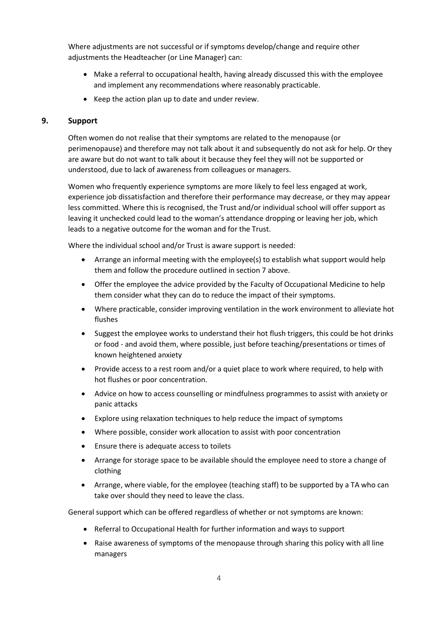Where adjustments are not successful or if symptoms develop/change and require other adjustments the Headteacher (or Line Manager) can:

- Make a referral to occupational health, having already discussed this with the employee and implement any recommendations where reasonably practicable.
- Keep the action plan up to date and under review.

# **9. Support**

Often women do not realise that their symptoms are related to the menopause (or perimenopause) and therefore may not talk about it and subsequently do not ask for help. Or they are aware but do not want to talk about it because they feel they will not be supported or understood, due to lack of awareness from colleagues or managers.

Women who frequently experience symptoms are more likely to feel less engaged at work, experience job dissatisfaction and therefore their performance may decrease, or they may appear less committed. Where this is recognised, the Trust and/or individual school will offer support as leaving it unchecked could lead to the woman's attendance dropping or leaving her job, which leads to a negative outcome for the woman and for the Trust.

Where the individual school and/or Trust is aware support is needed:

- Arrange an informal meeting with the employee(s) to establish what support would help them and follow the procedure outlined in section 7 above.
- Offer the employee the advice provided by the Faculty of Occupational Medicine to help them consider what they can do to reduce the impact of their symptoms.
- Where practicable, consider improving ventilation in the work environment to alleviate hot flushes
- Suggest the employee works to understand their hot flush triggers, this could be hot drinks or food - and avoid them, where possible, just before teaching/presentations or times of known heightened anxiety
- Provide access to a rest room and/or a quiet place to work where required, to help with hot flushes or poor concentration.
- Advice on how to access counselling or mindfulness programmes to assist with anxiety or panic attacks
- Explore using relaxation techniques to help reduce the impact of symptoms
- Where possible, consider work allocation to assist with poor concentration
- Ensure there is adequate access to toilets
- Arrange for storage space to be available should the employee need to store a change of clothing
- Arrange, where viable, for the employee (teaching staff) to be supported by a TA who can take over should they need to leave the class.

General support which can be offered regardless of whether or not symptoms are known:

- Referral to Occupational Health for further information and ways to support
- Raise awareness of symptoms of the menopause through sharing this policy with all line managers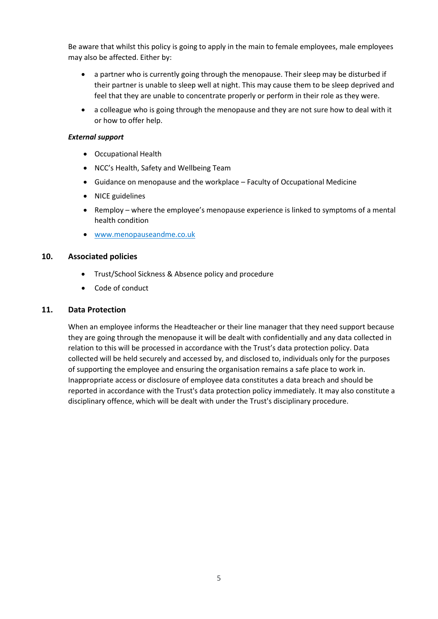Be aware that whilst this policy is going to apply in the main to female employees, male employees may also be affected. Either by:

- a partner who is currently going through the menopause. Their sleep may be disturbed if their partner is unable to sleep well at night. This may cause them to be sleep deprived and feel that they are unable to concentrate properly or perform in their role as they were.
- a colleague who is going through the menopause and they are not sure how to deal with it or how to offer help.

#### *External support*

- Occupational Health
- NCC's Health, Safety and Wellbeing Team
- Guidance on menopause and the workplace Faculty of Occupational Medicine
- NICE guidelines
- Remploy where the employee's menopause experience is linked to symptoms of a mental health condition
- [www.menopauseandme.co.uk](http://www.menopauseandme.co.uk/)

#### **10. Associated policies**

- Trust/School Sickness & Absence policy and procedure
- Code of conduct

#### **11. Data Protection**

When an employee informs the Headteacher or their line manager that they need support because they are going through the menopause it will be dealt with confidentially and any data collected in relation to this will be processed in accordance with the Trust's data protection policy. Data collected will be held securely and accessed by, and disclosed to, individuals only for the purposes of supporting the employee and ensuring the organisation remains a safe place to work in. Inappropriate access or disclosure of employee data constitutes a data breach and should be reported in accordance with the Trust's data protection policy immediately. It may also constitute a disciplinary offence, which will be dealt with under the Trust's disciplinary procedure.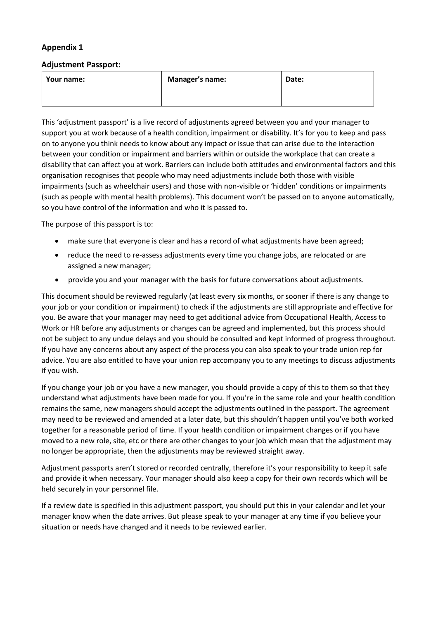# **Appendix 1**

#### **Adjustment Passport:**

| Your name: | <b>Manager's name:</b> | Date: |
|------------|------------------------|-------|
|            |                        |       |

This 'adjustment passport' is a live record of adjustments agreed between you and your manager to support you at work because of a health condition, impairment or disability. It's for you to keep and pass on to anyone you think needs to know about any impact or issue that can arise due to the interaction between your condition or impairment and barriers within or outside the workplace that can create a disability that can affect you at work. Barriers can include both attitudes and environmental factors and this organisation recognises that people who may need adjustments include both those with visible impairments (such as wheelchair users) and those with non-visible or 'hidden' conditions or impairments (such as people with mental health problems). This document won't be passed on to anyone automatically, so you have control of the information and who it is passed to.

The purpose of this passport is to:

- make sure that everyone is clear and has a record of what adjustments have been agreed;
- reduce the need to re-assess adjustments every time you change jobs, are relocated or are assigned a new manager;
- provide you and your manager with the basis for future conversations about adjustments.

This document should be reviewed regularly (at least every six months, or sooner if there is any change to your job or your condition or impairment) to check if the adjustments are still appropriate and effective for you. Be aware that your manager may need to get additional advice from Occupational Health, Access to Work or HR before any adjustments or changes can be agreed and implemented, but this process should not be subject to any undue delays and you should be consulted and kept informed of progress throughout. If you have any concerns about any aspect of the process you can also speak to your trade union rep for advice. You are also entitled to have your union rep accompany you to any meetings to discuss adjustments if you wish.

If you change your job or you have a new manager, you should provide a copy of this to them so that they understand what adjustments have been made for you. If you're in the same role and your health condition remains the same, new managers should accept the adjustments outlined in the passport. The agreement may need to be reviewed and amended at a later date, but this shouldn't happen until you've both worked together for a reasonable period of time. If your health condition or impairment changes or if you have moved to a new role, site, etc or there are other changes to your job which mean that the adjustment may no longer be appropriate, then the adjustments may be reviewed straight away.

Adjustment passports aren't stored or recorded centrally, therefore it's your responsibility to keep it safe and provide it when necessary. Your manager should also keep a copy for their own records which will be held securely in your personnel file.

If a review date is specified in this adjustment passport, you should put this in your calendar and let your manager know when the date arrives. But please speak to your manager at any time if you believe your situation or needs have changed and it needs to be reviewed earlier.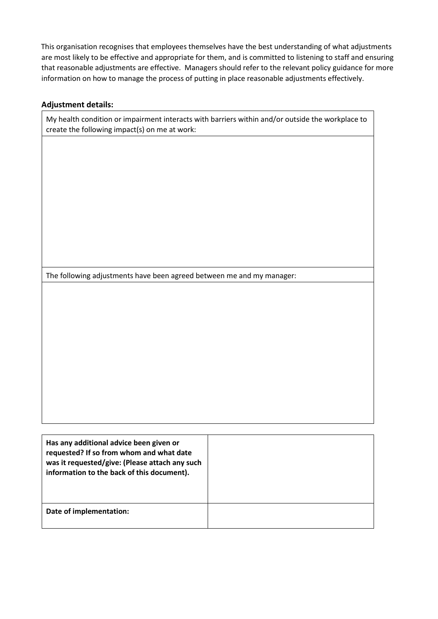This organisation recognises that employees themselves have the best understanding of what adjustments are most likely to be effective and appropriate for them, and is committed to listening to staff and ensuring that reasonable adjustments are effective. Managers should refer to the relevant policy guidance for more information on how to manage the process of putting in place reasonable adjustments effectively.

# **Adjustment details:**

My health condition or impairment interacts with barriers within and/or outside the workplace to create the following impact(s) on me at work:

The following adjustments have been agreed between me and my manager:

| Has any additional advice been given or<br>requested? If so from whom and what date<br>was it requested/give: (Please attach any such<br>information to the back of this document). |  |
|-------------------------------------------------------------------------------------------------------------------------------------------------------------------------------------|--|
| Date of implementation:                                                                                                                                                             |  |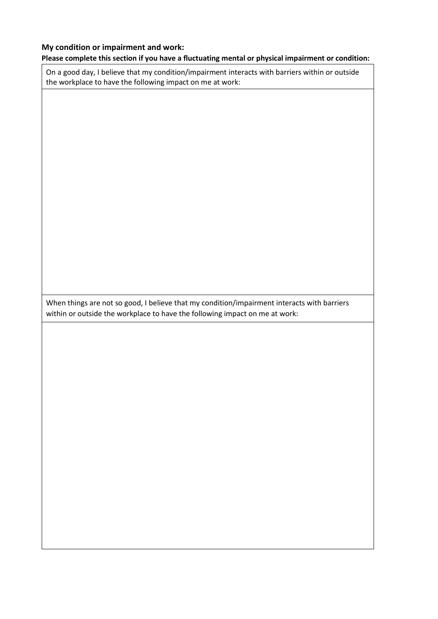#### **My condition or impairment and work:**

#### **Please complete this section if you have a fluctuating mental or physical impairment or condition:**

On a good day, I believe that my condition/impairment interacts with barriers within or outside the workplace to have the following impact on me at work:

When things are not so good, I believe that my condition/impairment interacts with barriers within or outside the workplace to have the following impact on me at work: